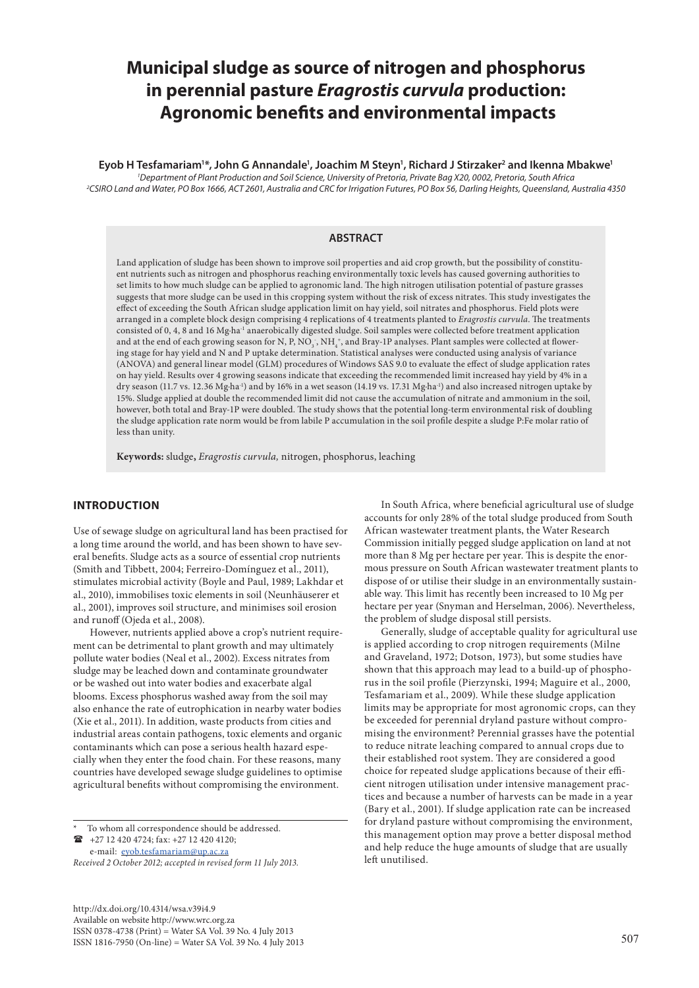# **Municipal sludge as source of nitrogen and phosphorus in perennial pasture** *Eragrostis curvula* **production: Agronomic benefits and environmental impacts**

**Eyob H Tesfamariam1 \*, John G Annandale1 , Joachim M Steyn1 , Richard J Stirzaker2 and Ikenna Mbakwe1** *1 Department of Plant Production and Soil Science, University of Pretoria, Private Bag X20, 0002, Pretoria, South Africa 2 CSIRO Land and Water, PO Box 1666, ACT 2601, Australia and CRC for Irrigation Futures, PO Box 56, Darling Heights, Queensland, Australia 4350*

# **ABSTRACT**

Land application of sludge has been shown to improve soil properties and aid crop growth, but the possibility of constituent nutrients such as nitrogen and phosphorus reaching environmentally toxic levels has caused governing authorities to set limits to how much sludge can be applied to agronomic land. The high nitrogen utilisation potential of pasture grasses suggests that more sludge can be used in this cropping system without the risk of excess nitrates. This study investigates the effect of exceeding the South African sludge application limit on hay yield, soil nitrates and phosphorus. Field plots were arranged in a complete block design comprising 4 replications of 4 treatments planted to *Eragrostis curvula*. The treatments consisted of 0, 4, 8 and 16 Mg∙ha-1 anaerobically digested sludge. Soil samples were collected before treatment application and at the end of each growing season for N, P,  $\rm NO_3^-$ ,  $\rm NH_4^*$ , and Bray-1P analyses. Plant samples were collected at flowering stage for hay yield and N and P uptake determination. Statistical analyses were conducted using analysis of variance (ANOVA) and general linear model (GLM) procedures of Windows SAS 9.0 to evaluate the effect of sludge application rates on hay yield. Results over 4 growing seasons indicate that exceeding the recommended limit increased hay yield by 4% in a dry season (11.7 vs. 12.36 Mg∙ha-1) and by 16% in a wet season (14.19 vs. 17.31 Mg∙ha-1) and also increased nitrogen uptake by 15%. Sludge applied at double the recommended limit did not cause the accumulation of nitrate and ammonium in the soil, however, both total and Bray-1P were doubled. The study shows that the potential long-term environmental risk of doubling the sludge application rate norm would be from labile P accumulation in the soil profile despite a sludge P:Fe molar ratio of less than unity.

**Keywords:** sludge**,** *Eragrostis curvula,* nitrogen, phosphorus, leaching

# **INTRODUCTION**

Use of sewage sludge on agricultural land has been practised for a long time around the world, and has been shown to have several benefits. Sludge acts as a source of essential crop nutrients (Smith and Tibbett, 2004; Ferreiro-Domínguez et al., 2011), stimulates microbial activity (Boyle and Paul, 1989; Lakhdar et al., 2010), immobilises toxic elements in soil (Neunhäuserer et al., 2001), improves soil structure, and minimises soil erosion and runoff (Ojeda et al., 2008).

However, nutrients applied above a crop's nutrient requirement can be detrimental to plant growth and may ultimately pollute water bodies (Neal et al., 2002). Excess nitrates from sludge may be leached down and contaminate groundwater or be washed out into water bodies and exacerbate algal blooms. Excess phosphorus washed away from the soil may also enhance the rate of eutrophication in nearby water bodies (Xie et al., 2011). In addition, waste products from cities and industrial areas contain pathogens, toxic elements and organic contaminants which can pose a serious health hazard especially when they enter the food chain. For these reasons, many countries have developed sewage sludge guidelines to optimise agricultural benefits without compromising the environment.

To whom all correspondence should be addressed.  $\bullet$  +27 12 420 4724; fax: +27 12 420 4120; e-mail: [eyob.tesfamariam@up.ac.za](mailto:eyob.tesfamariam@up.ac.za) 

*Received 2 October 2012; accepted in revised form 11 July 2013.*

http://dx.doi.org/10.4314/wsa.v39i4.9 Available on website http://www.wrc.org.za ISSN 0378-4738 (Print) = Water SA Vol. 39 No. 4 July 2013 ISSN 1816-7950 (On-line) = Water SA Vol. 39 No. 4 July 2013 507

In South Africa, where beneficial agricultural use of sludge accounts for only 28% of the total sludge produced from South African wastewater treatment plants, the Water Research Commission initially pegged sludge application on land at not more than 8 Mg per hectare per year. This is despite the enormous pressure on South African wastewater treatment plants to dispose of or utilise their sludge in an environmentally sustainable way. This limit has recently been increased to 10 Mg per hectare per year (Snyman and Herselman, 2006). Nevertheless, the problem of sludge disposal still persists.

Generally, sludge of acceptable quality for agricultural use is applied according to crop nitrogen requirements (Milne and Graveland, 1972; Dotson, 1973), but some studies have shown that this approach may lead to a build-up of phosphorus in the soil profile (Pierzynski, 1994; Maguire et al., 2000, Tesfamariam et al., 2009). While these sludge application limits may be appropriate for most agronomic crops, can they be exceeded for perennial dryland pasture without compromising the environment? Perennial grasses have the potential to reduce nitrate leaching compared to annual crops due to their established root system. They are considered a good choice for repeated sludge applications because of their efficient nitrogen utilisation under intensive management practices and because a number of harvests can be made in a year (Bary et al., 2001). If sludge application rate can be increased for dryland pasture without compromising the environment, this management option may prove a better disposal method and help reduce the huge amounts of sludge that are usually left unutilised.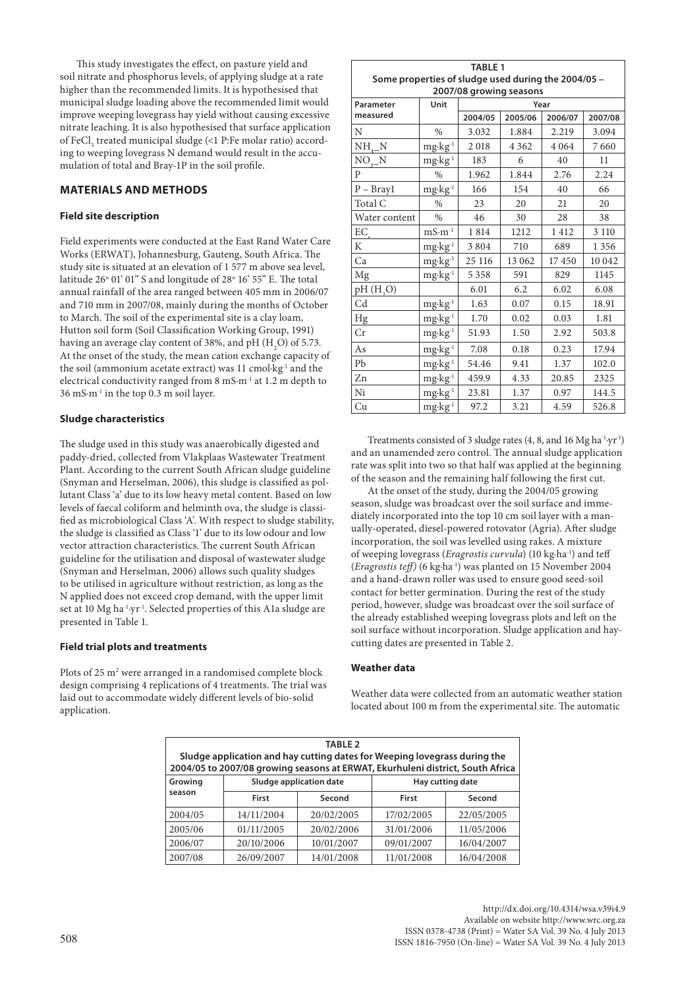This study investigates the effect, on pasture yield and soil nitrate and phosphorus levels, of applying sludge at a rate higher than the recommended limits. It is hypothesised that municipal sludge loading above the recommended limit would improve weeping lovegrass hay yield without causing excessive nitrate leaching. It is also hypothesised that surface application of FeCl<sub>3</sub> treated municipal sludge (<1 P:Fe molar ratio) according to weeping lovegrass N demand would result in the accumulation of total and Bray-1P in the soil profile.

# **MATERIALS AND METHODS**

## **Field site description**

Field experiments were conducted at the East Rand Water Care Works (ERWAT), Johannesburg, Gauteng, South Africa. The study site is situated at an elevation of 1 577 m above sea level, latitude 26° 01' 01" S and longitude of 28° 16' 55" E. The total annual rainfall of the area ranged between 405 mm in 2006/07 and 710 mm in 2007/08, mainly during the months of October to March. The soil of the experimental site is a clay loam, Hutton soil form (Soil Classification Working Group, 1991) having an average clay content of 38%, and pH  $(\text{H}_2\text{O})$  of 5.73. At the onset of the study, the mean cation exchange capacity of the soil (ammonium acetate extract) was 11 cmol∙kg-1 and the electrical conductivity ranged from 8 mS∙m-1 at 1.2 m depth to 36 mS∙m-1 in the top 0.3 m soil layer.

#### **Sludge characteristics**

The sludge used in this study was anaerobically digested and paddy-dried, collected from Vlakplaas Wastewater Treatment Plant. According to the current South African sludge guideline (Snyman and Herselman, 2006), this sludge is classified as pollutant Class 'a' due to its low heavy metal content. Based on low levels of faecal coliform and helminth ova, the sludge is classified as microbiological Class 'A'. With respect to sludge stability, the sludge is classified as Class '1' due to its low odour and low vector attraction characteristics. The current South African guideline for the utilisation and disposal of wastewater sludge (Snyman and Herselman, 2006) allows such quality sludges to be utilised in agriculture without restriction, as long as the N applied does not exceed crop demand, with the upper limit set at 10 Mg ha-1∙yr-1. Selected properties of this A1a sludge are presented in Table 1.

#### **Field trial plots and treatments**

Plots of 25 m<sup>2</sup> were arranged in a randomised complete block design comprising 4 replications of 4 treatments. The trial was laid out to accommodate widely different levels of bio-solid application.

|                                                     |                                 | <b>TABLE 1</b> |         |         |         |  |  |
|-----------------------------------------------------|---------------------------------|----------------|---------|---------|---------|--|--|
| Some properties of sludge used during the 2004/05 - |                                 |                |         |         |         |  |  |
|                                                     | 2007/08 growing seasons<br>Year |                |         |         |         |  |  |
| Parameter<br>measured                               | Unit                            | 2004/05        | 2005/06 | 2006/07 | 2007/08 |  |  |
| N                                                   | $\frac{0}{0}$                   | 3.032          | 1.884   | 2.219   | 3.094   |  |  |
|                                                     |                                 |                | 4 3 6 2 | 4 0 6 4 | 7660    |  |  |
| $NH_{4-}N$                                          | mg·kg <sup>-1</sup>             | 2018           |         |         |         |  |  |
| $NO3$ $N$                                           | $mg \cdot kg^{-1}$              | 183            | 6       | 40      | 11      |  |  |
| $\mathbf{p}$                                        | $\%$                            | 1.962          | 1.844   | 2.76    | 2.24    |  |  |
| $P - Bray1$                                         | $mg \cdot kg^{-1}$              | 166            | 154     | 40      | 66      |  |  |
| Total C                                             | $\frac{0}{0}$                   | 23             | 20      | 21      | 20      |  |  |
| Water content                                       | $\%$                            | 46             | 30      | 28      | 38      |  |  |
| $EC_{\rho}$                                         | $mS·m-1$                        | 1814           | 1212    | 1412    | 3 1 1 0 |  |  |
| K                                                   | $mg \cdot kg^{-1}$              | 3804           | 710     | 689     | 1 3 5 6 |  |  |
| Ca                                                  | $mg \cdot kg^{-1}$              | 25 116         | 13 062  | 17450   | 10 042  |  |  |
| Mg                                                  | $mg \cdot kg^{-1}$              | 5 3 5 8        | 591     | 829     | 1145    |  |  |
| pH(H, O)                                            |                                 | 6.01           | 6.2     | 6.02    | 6.08    |  |  |
| Cd                                                  | $mg \cdot kg^{-1}$              | 1.63           | 0.07    | 0.15    | 18.91   |  |  |
| Hg                                                  | $mg \cdot kg^{-1}$              | 1.70           | 0.02    | 0.03    | 1.81    |  |  |
| Cr                                                  | $mg \cdot kg^{-1}$              | 51.93          | 1.50    | 2.92    | 503.8   |  |  |
| As                                                  | $mg \cdot kg^{-1}$              | 7.08           | 0.18    | 0.23    | 17.94   |  |  |
| Pb                                                  | $mg \cdot kg^{-1}$              | 54.46          | 9.41    | 1.37    | 102.0   |  |  |
| Zn                                                  | $mg \cdot kg^{-1}$              | 459.9          | 4.33    | 20.85   | 2325    |  |  |
| Ni                                                  | $mg \cdot kg^{-1}$              | 23.81          | 1.37    | 0.97    | 144.5   |  |  |
| Cu                                                  | $mg \cdot kg^{-1}$              | 97.2           | 3.21    | 4.59    | 526.8   |  |  |

Treatments consisted of 3 sludge rates (4, 8, and 16 Mg ha-1∙yr-1) and an unamended zero control. The annual sludge application rate was split into two so that half was applied at the beginning of the season and the remaining half following the first cut.

At the onset of the study, during the 2004/05 growing season, sludge was broadcast over the soil surface and immediately incorporated into the top 10 cm soil layer with a manually-operated, diesel-powered rotovator (Agria). After sludge incorporation, the soil was levelled using rakes. A mixture of weeping lovegrass (*Eragrostis curvula*) (10 kg∙ha-1) and teff (*Eragrostis teff)* (6 kg∙ha-1) was planted on 15 November 2004 and a hand-drawn roller was used to ensure good seed-soil contact for better germination. During the rest of the study period, however, sludge was broadcast over the soil surface of the already established weeping lovegrass plots and left on the soil surface without incorporation. Sludge application and haycutting dates are presented in Table 2.

## **Weather data**

Weather data were collected from an automatic weather station located about 100 m from the experimental site. The automatic

| <b>TABLE 2</b><br>Sludge application and hay cutting dates for Weeping lovegrass during the<br>2004/05 to 2007/08 growing seasons at ERWAT, Ekurhuleni district, South Africa |                                             |            |            |            |  |  |  |
|-------------------------------------------------------------------------------------------------------------------------------------------------------------------------------|---------------------------------------------|------------|------------|------------|--|--|--|
| Growing                                                                                                                                                                       | Sludge application date<br>Hay cutting date |            |            |            |  |  |  |
| season                                                                                                                                                                        | <b>First</b>                                | Second     | First      | Second     |  |  |  |
| 2004/05                                                                                                                                                                       | 14/11/2004                                  | 20/02/2005 | 17/02/2005 | 22/05/2005 |  |  |  |
| 2005/06                                                                                                                                                                       | 01/11/2005                                  | 20/02/2006 | 31/01/2006 | 11/05/2006 |  |  |  |
| 2006/07                                                                                                                                                                       | 20/10/2006                                  | 10/01/2007 | 09/01/2007 | 16/04/2007 |  |  |  |
| 2007/08                                                                                                                                                                       | 26/09/2007                                  | 14/01/2008 | 11/01/2008 | 16/04/2008 |  |  |  |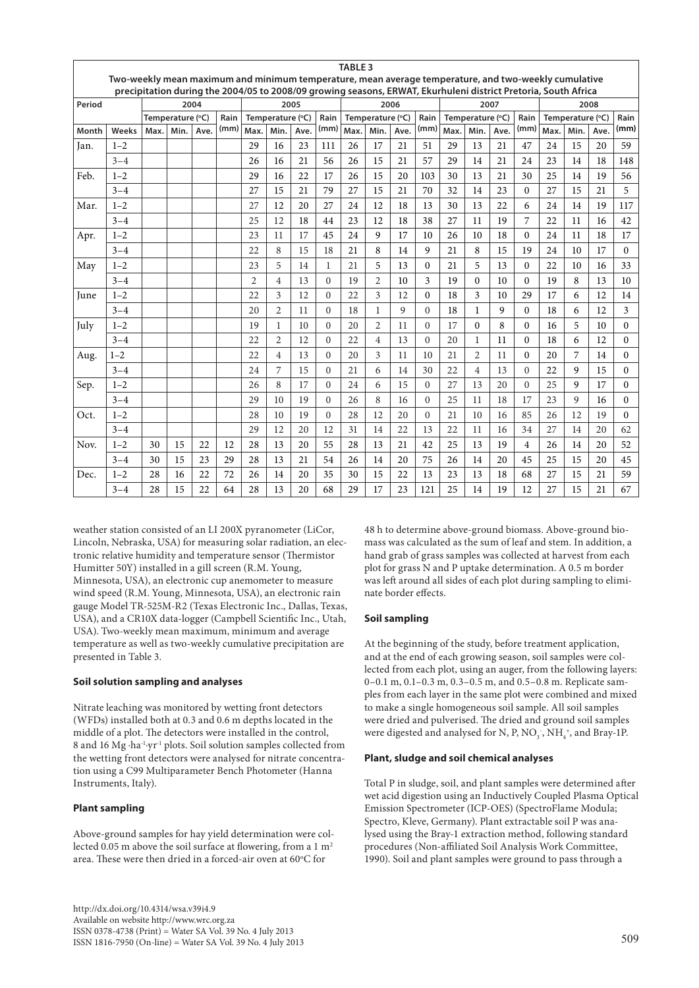|        |                                                                                                      |      |                  |      |      |                |                  |      |                                                                                                                        | <b>TABLE 3</b> |                  |      |          |      |                  |      |                |                  |      |      |                |
|--------|------------------------------------------------------------------------------------------------------|------|------------------|------|------|----------------|------------------|------|------------------------------------------------------------------------------------------------------------------------|----------------|------------------|------|----------|------|------------------|------|----------------|------------------|------|------|----------------|
|        | Two-weekly mean maximum and minimum temperature, mean average temperature, and two-weekly cumulative |      |                  |      |      |                |                  |      |                                                                                                                        |                |                  |      |          |      |                  |      |                |                  |      |      |                |
| Period |                                                                                                      |      |                  | 2004 |      | 2005           |                  |      | precipitation during the 2004/05 to 2008/09 growing seasons, ERWAT, Ekurhuleni district Pretoria, South Africa<br>2006 |                |                  | 2007 |          |      | 2008             |      |                |                  |      |      |                |
|        |                                                                                                      |      | Temperature (°C) |      | Rain |                | Temperature (°C) |      | Rain                                                                                                                   |                | Temperature (°C) |      | Rain     |      | Temperature (°C) |      | Rain           | Temperature (°C) |      |      | Rain           |
| Month  | Weeks                                                                                                | Max. | Min.             | Ave. | (mm) | Max.           | Min.             | Ave. | (mm)                                                                                                                   | Max.           | Min.             | Ave. | (mm)     | Max. | Min.             | Ave. | (mm)           | Max.             | Min. | Ave. | (mm)           |
| Jan.   | $1 - 2$                                                                                              |      |                  |      |      | 29             | 16               | 23   | 111                                                                                                                    | 26             | 17               | 21   | 51       | 29   | 13               | 21   | 47             | 24               | 15   | 20   | 59             |
|        | $3 - 4$                                                                                              |      |                  |      |      | 26             | 16               | 21   | 56                                                                                                                     | 26             | 15               | 21   | 57       | 29   | 14               | 21   | 24             | 23               | 14   | 18   | 148            |
| Feb.   | $1 - 2$                                                                                              |      |                  |      |      | 29             | 16               | 22   | 17                                                                                                                     | 26             | 15               | 20   | 103      | 30   | 13               | 21   | 30             | 25               | 14   | 19   | 56             |
|        | $3 - 4$                                                                                              |      |                  |      |      | 27             | 15               | 21   | 79                                                                                                                     | 27             | 15               | 21   | 70       | 32   | 14               | 23   | $\mathbf{0}$   | 27               | 15   | 21   | 5              |
| Mar.   | $1 - 2$                                                                                              |      |                  |      |      | 27             | 12               | 20   | 27                                                                                                                     | 24             | 12               | 18   | 13       | 30   | 13               | 22   | 6              | 24               | 14   | 19   | 117            |
|        | $3 - 4$                                                                                              |      |                  |      |      | 25             | 12               | 18   | 44                                                                                                                     | 23             | 12               | 18   | 38       | 27   | 11               | 19   | 7              | 22               | 11   | 16   | 42             |
| Apr.   | $1 - 2$                                                                                              |      |                  |      |      | 23             | 11               | 17   | 45                                                                                                                     | 24             | 9                | 17   | 10       | 26   | 10               | 18   | $\theta$       | 24               | 11   | 18   | 17             |
|        | $3 - 4$                                                                                              |      |                  |      |      | 22             | 8                | 15   | 18                                                                                                                     | 21             | 8                | 14   | 9        | 21   | 8                | 15   | 19             | 24               | 10   | 17   | $\Omega$       |
| May    | $1 - 2$                                                                                              |      |                  |      |      | 23             | 5                | 14   | 1                                                                                                                      | 21             | 5                | 13   | $\Omega$ | 21   | 5                | 13   | $\theta$       | 22               | 10   | 16   | 33             |
|        | $3 - 4$                                                                                              |      |                  |      |      | $\overline{2}$ | $\overline{4}$   | 13   | $\Omega$                                                                                                               | 19             | $\overline{2}$   | 10   | 3        | 19   | $\Omega$         | 10   | $\mathbf{0}$   | 19               | 8    | 13   | 10             |
| June   | $1 - 2$                                                                                              |      |                  |      |      | 22             | 3                | 12   | $\Omega$                                                                                                               | 22             | 3                | 12   | $\theta$ | 18   | 3                | 10   | 29             | 17               | 6    | 12   | 14             |
|        | $3 - 4$                                                                                              |      |                  |      |      | 20             | $\overline{2}$   | 11   | $\Omega$                                                                                                               | 18             | $\mathbf{1}$     | 9    | $\Omega$ | 18   | $\mathbf{1}$     | 9    | $\Omega$       | 18               | 6    | 12   | 3              |
| July   | $1 - 2$                                                                                              |      |                  |      |      | 19             | $\mathbf{1}$     | 10   | $\mathbf{0}$                                                                                                           | 20             | $\overline{2}$   | 11   | $\Omega$ | 17   | $\Omega$         | 8    | $\mathbf{0}$   | 16               | 5    | 10   | $\overline{0}$ |
|        | $3 - 4$                                                                                              |      |                  |      |      | 22             | $\overline{2}$   | 12   | $\overline{0}$                                                                                                         | 22             | $\overline{4}$   | 13   | $\Omega$ | 20   | 1                | 11   | $\mathbf{0}$   | 18               | 6    | 12   | $\overline{0}$ |
| Aug.   | $1 - 2$                                                                                              |      |                  |      |      | 22             | $\overline{4}$   | 13   | $\Omega$                                                                                                               | 20             | 3                | 11   | 10       | 21   | $\overline{2}$   | 11   | $\Omega$       | 20               | 7    | 14   | $\Omega$       |
|        | $3 - 4$                                                                                              |      |                  |      |      | 24             | 7                | 15   | $\Omega$                                                                                                               | 21             | 6                | 14   | 30       | 22   | $\overline{4}$   | 13   | $\Omega$       | 22               | 9    | 15   | $\Omega$       |
| Sep.   | $1 - 2$                                                                                              |      |                  |      |      | 26             | 8                | 17   | $\Omega$                                                                                                               | 24             | 6                | 15   | $\Omega$ | 27   | 13               | 20   | $\theta$       | 25               | 9    | 17   | $\theta$       |
|        | $3 - 4$                                                                                              |      |                  |      |      | 29             | 10               | 19   | $\Omega$                                                                                                               | 26             | 8                | 16   | $\Omega$ | 25   | 11               | 18   | 17             | 23               | 9    | 16   | $\theta$       |
| Oct.   | $1 - 2$                                                                                              |      |                  |      |      | 28             | 10               | 19   | $\Omega$                                                                                                               | 28             | 12               | 20   | $\Omega$ | 21   | 10               | 16   | 85             | 26               | 12   | 19   | $\Omega$       |
|        | $3 - 4$                                                                                              |      |                  |      |      | 29             | 12               | 20   | 12                                                                                                                     | 31             | 14               | 22   | 13       | 22   | 11               | 16   | 34             | 27               | 14   | 20   | 62             |
| Nov.   | $1 - 2$                                                                                              | 30   | 15               | 22   | 12   | 28             | 13               | 20   | 55                                                                                                                     | 28             | 13               | 21   | 42       | 25   | 13               | 19   | $\overline{4}$ | 26               | 14   | 20   | 52             |
|        | $3 - 4$                                                                                              | 30   | 15               | 23   | 29   | 28             | 13               | 21   | 54                                                                                                                     | 26             | 14               | 20   | 75       | 26   | 14               | 20   | 45             | 25               | 15   | 20   | 45             |
| Dec.   | $1 - 2$                                                                                              | 28   | 16               | 22   | 72   | 26             | 14               | 20   | 35                                                                                                                     | 30             | 15               | 22   | 13       | 23   | 13               | 18   | 68             | 27               | 15   | 21   | 59             |
|        | $3 - 4$                                                                                              | 28   | 15               | 22   | 64   | 28             | 13               | 20   | 68                                                                                                                     | 29             | 17               | 23   | 121      | 25   | 14               | 19   | 12             | 27               | 15   | 21   | 67             |

weather station consisted of an LI 200X pyranometer (LiCor, Lincoln, Nebraska, USA) for measuring solar radiation, an electronic relative humidity and temperature sensor (Thermistor Humitter 50Y) installed in a gill screen (R.M. Young, Minnesota, USA), an electronic cup anemometer to measure wind speed (R.M. Young, Minnesota, USA), an electronic rain gauge Model TR-525M-R2 (Texas Electronic Inc., Dallas, Texas, USA), and a CR10X data-logger (Campbell Scientific Inc., Utah, USA). Two-weekly mean maximum, minimum and average temperature as well as two-weekly cumulative precipitation are presented in Table 3.

# **Soil solution sampling and analyses**

Nitrate leaching was monitored by wetting front detectors (WFDs) installed both at 0.3 and 0.6 m depths located in the middle of a plot. The detectors were installed in the control, 8 and 16 Mg ∙ha-1∙yr-1 plots. Soil solution samples collected from the wetting front detectors were analysed for nitrate concentration using a C99 Multiparameter Bench Photometer (Hanna Instruments, Italy).

# **Plant sampling**

Above-ground samples for hay yield determination were collected 0.05 m above the soil surface at flowering, from a  $1 \text{ m}^2$ area. These were then dried in a forced-air oven at  $60^{\circ}\mathrm{C}$  for

http://dx.doi.org/10.4314/wsa.v39i4.9 Available on website http://www.wrc.org.za ISSN 0378-4738 (Print) = Water SA Vol. 39 No. 4 July 2013  $1$ SSN 1816-7950 (On-line) = Water SA Vol. 39 No. 4 July 2013 509 SOSN 1816-7950 (On-line) = Water SA Vol. 39 No. 4 July 2013

48 h to determine above-ground biomass. Above-ground biomass was calculated as the sum of leaf and stem. In addition, a hand grab of grass samples was collected at harvest from each plot for grass N and P uptake determination. A 0.5 m border was left around all sides of each plot during sampling to eliminate border effects.

# **Soil sampling**

At the beginning of the study, before treatment application, and at the end of each growing season, soil samples were collected from each plot, using an auger, from the following layers: 0–0.1 m, 0.1–0.3 m, 0.3–0.5 m, and 0.5–0.8 m. Replicate samples from each layer in the same plot were combined and mixed to make a single homogeneous soil sample. All soil samples were dried and pulverised. The dried and ground soil samples were digested and analysed for N, P, NO<sub>3</sub>, NH<sub>4</sub><sup>+</sup>, and Bray-1P.

# **Plant, sludge and soil chemical analyses**

Total P in sludge, soil, and plant samples were determined after wet acid digestion using an Inductively Coupled Plasma Optical Emission Spectrometer (ICP-OES) (SpectroFlame Modula; Spectro, Kleve, Germany). Plant extractable soil P was analysed using the Bray-1 extraction method, following standard procedures (Non-affiliated Soil Analysis Work Committee, 1990). Soil and plant samples were ground to pass through a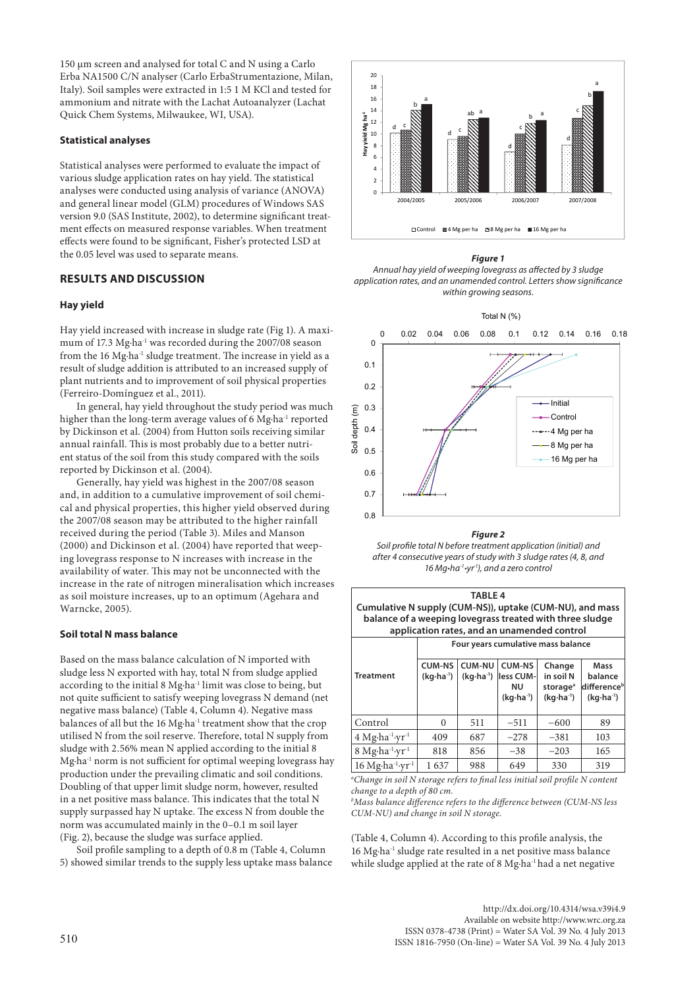150 µm screen and analysed for total C and N using a Carlo Erba NA1500 C/N analyser (Carlo ErbaStrumentazione, Milan, Italy). Soil samples were extracted in 1:5 1 M KCl and tested for ammonium and nitrate with the Lachat Autoanalyzer (Lachat Quick Chem Systems, Milwaukee, WI, USA).

## **Statistical analyses**

Statistical analyses were performed to evaluate the impact of various sludge application rates on hay yield. The statistical analyses were conducted using analysis of variance (ANOVA) and general linear model (GLM) procedures of Windows SAS version 9.0 (SAS Institute, 2002), to determine significant treatment effects on measured response variables. When treatment effects were found to be significant, Fisher's protected LSD at the 0.05 level was used to separate means.

# **RESULTS AND DISCUSSION**

#### **Hay yield**

Hay yield increased with increase in sludge rate (Fig 1). A maximum of 17.3 Mg⋅ha<sup>-1</sup> was recorded during the 2007/08 season from the 16 Mg∙ha-1 sludge treatment. The increase in yield as a result of sludge addition is attributed to an increased supply of plant nutrients and to improvement of soil physical properties (Ferreiro-Domínguez et al., 2011).

In general, hay yield throughout the study period was much higher than the long-term average values of 6 Mg∙ha-1 reported by Dickinson et al. (2004) from Hutton soils receiving similar annual rainfall. This is most probably due to a better nutrient status of the soil from this study compared with the soils reported by Dickinson et al. (2004).

Generally, hay yield was highest in the 2007/08 season and, in addition to a cumulative improvement of soil chemical and physical properties, this higher yield observed during the 2007/08 season may be attributed to the higher rainfall received during the period (Table 3). Miles and Manson (2000) and Dickinson et al. (2004) have reported that weeping lovegrass response to N increases with increase in the availability of water. This may not be unconnected with the increase in the rate of nitrogen mineralisation which increases as soil moisture increases, up to an optimum (Agehara and Warncke, 2005).

#### **Soil total N mass balance**

Based on the mass balance calculation of N imported with sludge less N exported with hay, total N from sludge applied according to the initial 8 Mg∙ha-1 limit was close to being, but not quite sufficient to satisfy weeping lovegrass N demand (net negative mass balance) (Table 4, Column 4). Negative mass balances of all but the 16 Mg∙ha-1 treatment show that the crop utilised N from the soil reserve. Therefore, total N supply from sludge with 2.56% mean N applied according to the initial 8 Mg∙ha-1 norm is not sufficient for optimal weeping lovegrass hay production under the prevailing climatic and soil conditions. Doubling of that upper limit sludge norm, however, resulted in a net positive mass balance. This indicates that the total N supply surpassed hay N uptake. The excess N from double the norm was accumulated mainly in the 0–0.1 m soil layer (Fig. 2), because the sludge was surface applied.

Soil profile sampling to a depth of 0.8 m (Table 4, Column 5) showed similar trends to the supply less uptake mass balance



*Figure 1 Annual hay yield of weeping lovegrass as affected by 3 sludge application rates, and an unamended control. Letters show significance within growing seasons.*



*Figure 2*



| <b>TABLE 4</b><br>Cumulative N supply (CUM-NS)), uptake (CUM-NU), and mass<br>balance of a weeping lovegrass treated with three sludge<br>application rates, and an unamended control |                                                                                                                                                                                                                   |     |        |                                    |                                                        |  |  |
|---------------------------------------------------------------------------------------------------------------------------------------------------------------------------------------|-------------------------------------------------------------------------------------------------------------------------------------------------------------------------------------------------------------------|-----|--------|------------------------------------|--------------------------------------------------------|--|--|
|                                                                                                                                                                                       |                                                                                                                                                                                                                   |     |        | Four years cumulative mass balance |                                                        |  |  |
| <b>Treatment</b>                                                                                                                                                                      | <b>CUM-NU</b><br><b>CUM-NS</b><br><b>CUM-NS</b><br>Change<br>in soil N<br>$(kq \cdot ha^{-1})$<br>$(kq \cdot ha^{-1})$<br>less CUM-<br>ΝU<br>storage <sup>a</sup><br>$(kq \cdot ha^{-1})$<br>$(kq \cdot ha^{-1})$ |     |        |                                    | Mass<br>balance<br>differenceb<br>$(kq \cdot ha^{-1})$ |  |  |
| Control                                                                                                                                                                               | 0                                                                                                                                                                                                                 | 511 | $-511$ | $-600$                             | 89                                                     |  |  |
| $4$ Mg $\cdot$ ha <sup>-1</sup> ·yr <sup>-1</sup>                                                                                                                                     | 409                                                                                                                                                                                                               | 687 | $-278$ | $-381$                             | 103                                                    |  |  |
| 8 Mg·ha <sup>-1</sup> ·yr <sup>-1</sup>                                                                                                                                               | 818                                                                                                                                                                                                               | 856 | $-38$  | $-203$                             | 165                                                    |  |  |
| 16 Mg·ha <sup>-1</sup> ·yr <sup>-1</sup>                                                                                                                                              | 1637                                                                                                                                                                                                              | 988 | 649    | 330                                | 319                                                    |  |  |

<sup>a</sup>Change in soil N storage refers to final less initial soil profile N content *change to a depth of 80 cm.*

*b Mass balance difference refers to the difference between (CUM-NS less CUM-NU) and change in soil N storage.* 

(Table 4, Column 4). According to this profile analysis, the 16 Mg∙ha-1 sludge rate resulted in a net positive mass balance while sludge applied at the rate of 8 Mg∙ha-1 had a net negative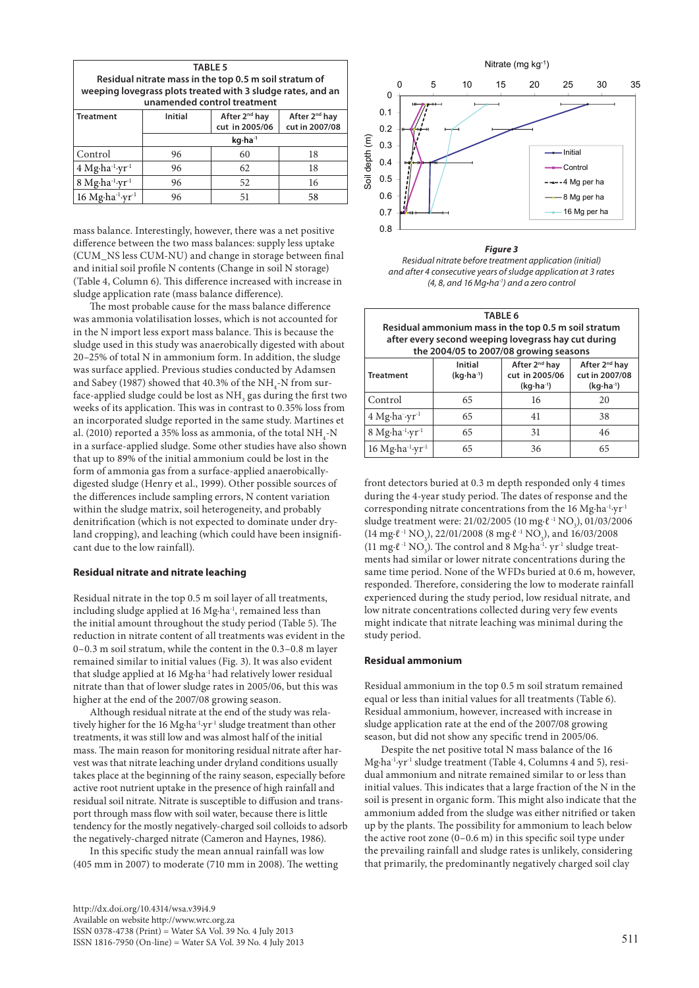| <b>TABLE 5</b><br>Residual nitrate mass in the top 0.5 m soil stratum of<br>weeping lovegrass plots treated with 3 sludge rates, and an<br>unamended control treatment |                                                                                                              |    |    |  |  |  |  |  |  |
|------------------------------------------------------------------------------------------------------------------------------------------------------------------------|--------------------------------------------------------------------------------------------------------------|----|----|--|--|--|--|--|--|
| <b>Treatment</b>                                                                                                                                                       | After 2 <sup>nd</sup> hay<br>After 2 <sup>nd</sup> hay<br><b>Initial</b><br>cut in 2005/06<br>cut in 2007/08 |    |    |  |  |  |  |  |  |
|                                                                                                                                                                        | kg·ha <sup>-1</sup>                                                                                          |    |    |  |  |  |  |  |  |
| Control                                                                                                                                                                | 96                                                                                                           | 60 | 18 |  |  |  |  |  |  |
| $4$ Mg $\cdot$ ha <sup>-1</sup> $\cdot$ yr <sup>-1</sup>                                                                                                               | 96<br>62<br>18                                                                                               |    |    |  |  |  |  |  |  |
| $8$ Mg·ha <sup>-1</sup> ·yr <sup>-1</sup>                                                                                                                              | 96                                                                                                           | 52 | 16 |  |  |  |  |  |  |

mass balance. Interestingly, however, there was a net positive difference between the two mass balances: supply less uptake (CUM\_NS less CUM-NU) and change in storage between final and initial soil profile N contents (Change in soil N storage) (Table 4, Column 6). This difference increased with increase in sludge application rate (mass balance difference).

16 Mg⋅ha<sup>-1</sup>⋅yr<sup>-1</sup> 96 51 58

The most probable cause for the mass balance difference was ammonia volatilisation losses, which is not accounted for in the N import less export mass balance. This is because the sludge used in this study was anaerobically digested with about 20–25% of total N in ammonium form. In addition, the sludge was surface applied. Previous studies conducted by Adamsen and Sabey (1987) showed that 40.3% of the  $\mathrm{NH}_{4}\text{-}\mathrm{N}$  from surface-applied sludge could be lost as  $\mathrm{NH}_3$  gas during the first two weeks of its application. This was in contrast to 0.35% loss from an incorporated sludge reported in the same study. Martines et al. (2010) reported a 35% loss as ammonia, of the total  $\mathrm{NH}_4$ -N in a surface-applied sludge. Some other studies have also shown that up to 89% of the initial ammonium could be lost in the form of ammonia gas from a surface-applied anaerobicallydigested sludge (Henry et al., 1999). Other possible sources of the differences include sampling errors, N content variation within the sludge matrix, soil heterogeneity, and probably denitrification (which is not expected to dominate under dryland cropping), and leaching (which could have been insignificant due to the low rainfall).

#### **Residual nitrate and nitrate leaching**

Residual nitrate in the top 0.5 m soil layer of all treatments, including sludge applied at 16 Mg∙ha-1, remained less than the initial amount throughout the study period (Table 5). The reduction in nitrate content of all treatments was evident in the 0–0.3 m soil stratum, while the content in the 0.3–0.8 m layer remained similar to initial values (Fig. 3). It was also evident that sludge applied at 16 Mg∙ha-1 had relatively lower residual nitrate than that of lower sludge rates in 2005/06, but this was higher at the end of the 2007/08 growing season.

Although residual nitrate at the end of the study was relatively higher for the 16 Mg⋅ha<sup>-1</sup>⋅yr<sup>-1</sup> sludge treatment than other treatments, it was still low and was almost half of the initial mass. The main reason for monitoring residual nitrate after harvest was that nitrate leaching under dryland conditions usually takes place at the beginning of the rainy season, especially before active root nutrient uptake in the presence of high rainfall and residual soil nitrate. Nitrate is susceptible to diffusion and transport through mass flow with soil water, because there is little tendency for the mostly negatively-charged soil colloids to adsorb the negatively-charged nitrate (Cameron and Haynes, 1986).

In this specific study the mean annual rainfall was low (405 mm in 2007) to moderate (710 mm in 2008). The wetting



*Figure 3 Residual nitrate before treatment application (initial)* 

| and after 4 consecutive years of sludge application at 3 rates   |
|------------------------------------------------------------------|
| $(4, 8,$ and 16 Mg $\cdot$ ha <sup>-1</sup> ) and a zero control |

| <b>TABLE 6</b>                                                      |                                                                                                                                                                                      |                                                     |    |  |  |  |  |  |
|---------------------------------------------------------------------|--------------------------------------------------------------------------------------------------------------------------------------------------------------------------------------|-----------------------------------------------------|----|--|--|--|--|--|
|                                                                     | Residual ammonium mass in the top 0.5 m soil stratum                                                                                                                                 |                                                     |    |  |  |  |  |  |
|                                                                     |                                                                                                                                                                                      | after every second weeping lovegrass hay cut during |    |  |  |  |  |  |
|                                                                     |                                                                                                                                                                                      | the 2004/05 to 2007/08 growing seasons              |    |  |  |  |  |  |
| <b>Treatment</b>                                                    | After 2 <sup>nd</sup> hay<br><b>Initial</b><br>After 2 <sup>nd</sup> hay<br>cut in 2005/06<br>cut in 2007/08<br>$(kq \cdot ha^{-1})$<br>$(kq \cdot ha^{-1})$<br>$(kq \cdot ha^{-1})$ |                                                     |    |  |  |  |  |  |
| Control                                                             | 65                                                                                                                                                                                   | 16                                                  | 20 |  |  |  |  |  |
| $4$ Mg $\cdot$ ha $\cdot$ vr <sup>-1</sup>                          | 65                                                                                                                                                                                   | 41                                                  | 38 |  |  |  |  |  |
| $8$ Mg $\cdot$ ha <sup>-1</sup> ·yr <sup>-1</sup><br>65<br>46<br>31 |                                                                                                                                                                                      |                                                     |    |  |  |  |  |  |
| $16$ Mg $\cdot$ ha <sup>-1</sup> ·yr <sup>-1</sup>                  | 65                                                                                                                                                                                   | 36                                                  | 65 |  |  |  |  |  |

front detectors buried at 0.3 m depth responded only 4 times during the 4-year study period. The dates of response and the corresponding nitrate concentrations from the 16 Mg∙ha-1∙yr-1 sludge treatment were: 21/02/2005 (10 mg⋅ $\ell$ <sup>-1</sup> NO<sub>3</sub>), 01/03/2006 (14 mg⋅ℓ<sup>-1</sup> NO<sub>3</sub>), 22/01/2008 (8 mg⋅ℓ<sup>-1</sup> NO<sub>3</sub>), and 16/03/2008 (11 mg⋅ $\ell$ <sup>-1</sup> NO<sub>3</sub>). The control and 8 Mg⋅ha<sup>-1</sup>⋅ yr<sup>-1</sup> sludge treatments had similar or lower nitrate concentrations during the same time period. None of the WFDs buried at 0.6 m, however, responded. Therefore, considering the low to moderate rainfall experienced during the study period, low residual nitrate, and low nitrate concentrations collected during very few events might indicate that nitrate leaching was minimal during the study period.

#### **Residual ammonium**

Residual ammonium in the top 0.5 m soil stratum remained equal or less than initial values for all treatments (Table 6). Residual ammonium, however, increased with increase in sludge application rate at the end of the 2007/08 growing season, but did not show any specific trend in 2005/06.

Despite the net positive total N mass balance of the 16 Mg∙ha-1∙yr-1 sludge treatment (Table 4, Columns 4 and 5), residual ammonium and nitrate remained similar to or less than initial values. This indicates that a large fraction of the N in the soil is present in organic form. This might also indicate that the ammonium added from the sludge was either nitrified or taken up by the plants. The possibility for ammonium to leach below the active root zone (0–0.6 m) in this specific soil type under the prevailing rainfall and sludge rates is unlikely, considering that primarily, the predominantly negatively charged soil clay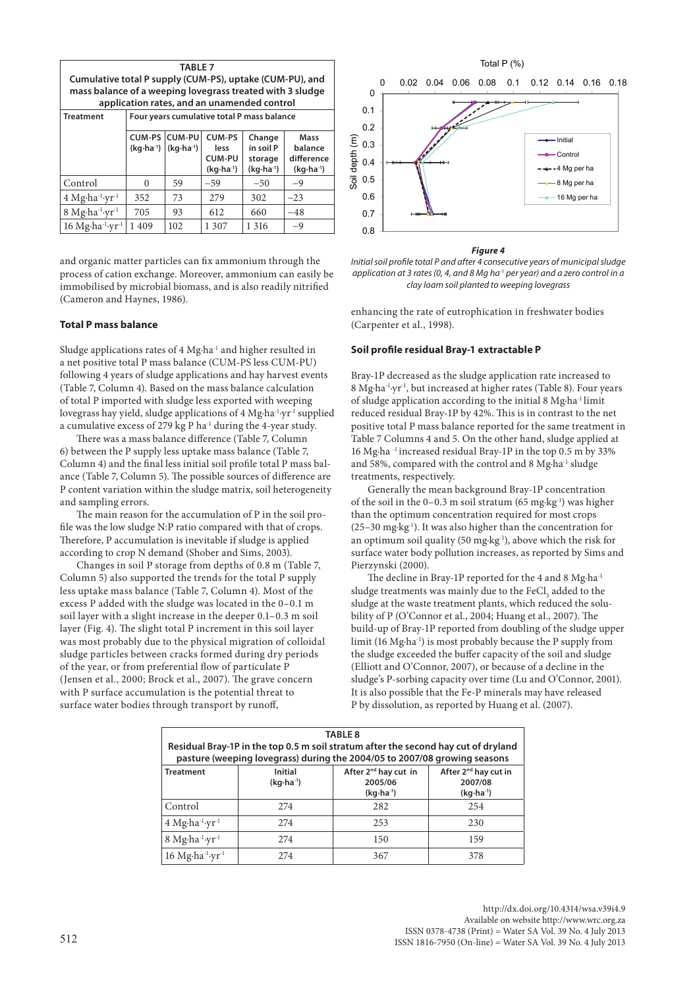| <b>TABLE 7</b><br>Cumulative total P supply (CUM-PS), uptake (CUM-PU), and<br>mass balance of a weeping lovegrass treated with 3 sludge<br>application rates, and an unamended control |                                                                                                                                                                                                                                      |     |                                            |         |       |  |  |
|----------------------------------------------------------------------------------------------------------------------------------------------------------------------------------------|--------------------------------------------------------------------------------------------------------------------------------------------------------------------------------------------------------------------------------------|-----|--------------------------------------------|---------|-------|--|--|
| <b>Treatment</b>                                                                                                                                                                       |                                                                                                                                                                                                                                      |     | Four years cumulative total P mass balance |         |       |  |  |
|                                                                                                                                                                                        | CUM-PS CUM-PU<br>CUM-PS<br>Change<br>Mass<br>in soil P<br>$(kq \cdot ha^{-1})$<br>$(kq \cdot ha^{-1})$<br>balance<br>less<br>CUM-PU<br>difference<br>storage<br>$(kq \cdot ha^{-1})$<br>$(kq \cdot ha^{-1})$<br>$(kq \cdot ha^{-1})$ |     |                                            |         |       |  |  |
| Control                                                                                                                                                                                | $\Omega$                                                                                                                                                                                                                             | 59  | $-59$                                      | $-50$   | $-9$  |  |  |
| $4$ Mg·ha <sup>-1</sup> ·yr <sup>-1</sup>                                                                                                                                              | 352                                                                                                                                                                                                                                  | 73  | 279                                        | 302     | $-23$ |  |  |
| 8 Mg·ha <sup>-1</sup> ·yr <sup>-1</sup>                                                                                                                                                | 705                                                                                                                                                                                                                                  | 93  | 612                                        | 660     | $-48$ |  |  |
| $16$ Mg·ha <sup>-1</sup> ·yr <sup>-1</sup>                                                                                                                                             | 1409                                                                                                                                                                                                                                 | 102 | 1 307                                      | 1 3 1 6 | $-9$  |  |  |

and organic matter particles can fix ammonium through the process of cation exchange. Moreover, ammonium can easily be immobilised by microbial biomass, and is also readily nitrified (Cameron and Haynes, 1986).

#### **Total P mass balance**

Sludge applications rates of 4 Mg∙ha-1 and higher resulted in a net positive total P mass balance (CUM-PS less CUM-PU) following 4 years of sludge applications and hay harvest events (Table 7, Column 4). Based on the mass balance calculation of total P imported with sludge less exported with weeping lovegrass hay yield, sludge applications of 4 Mg∙ha-1∙yr-1 supplied a cumulative excess of 279 kg P ha-1 during the 4-year study.

There was a mass balance difference (Table 7, Column 6) between the P supply less uptake mass balance (Table 7, Column 4) and the final less initial soil profile total P mass balance (Table 7, Column 5). The possible sources of difference are P content variation within the sludge matrix, soil heterogeneity and sampling errors.

The main reason for the accumulation of P in the soil profile was the low sludge N:P ratio compared with that of crops. Therefore, P accumulation is inevitable if sludge is applied according to crop N demand (Shober and Sims, 2003).

Changes in soil P storage from depths of 0.8 m (Table 7, Column 5) also supported the trends for the total P supply less uptake mass balance (Table 7, Column 4). Most of the excess P added with the sludge was located in the 0–0.1 m soil layer with a slight increase in the deeper 0.1–0.3 m soil layer (Fig. 4). The slight total P increment in this soil layer was most probably due to the physical migration of colloidal sludge particles between cracks formed during dry periods of the year, or from preferential flow of particulate P (Jensen et al., 2000; Brock et al., 2007). The grave concern with P surface accumulation is the potential threat to surface water bodies through transport by runoff,



#### *Figure 4*

*Initial soil profile total P and after 4 consecutive years of municipal sludge application at 3 rates (0, 4, and 8 Mg ha-1 per year) and a zero control in a clay loam soil planted to weeping lovegrass*

enhancing the rate of eutrophication in freshwater bodies (Carpenter et al., 1998).

# **Soil profile residual Bray-1 extractable P**

Bray-1P decreased as the sludge application rate increased to 8 Mg∙ha-1∙yr-1, but increased at higher rates (Table 8). Four years of sludge application according to the initial 8 Mg∙ha-1 limit reduced residual Bray-1P by 42%. This is in contrast to the net positive total P mass balance reported for the same treatment in Table 7 Columns 4 and 5. On the other hand, sludge applied at 16 Mg∙ha -1 increased residual Bray-1P in the top 0.5 m by 33% and 58%, compared with the control and 8 Mg∙ha-1 sludge treatments, respectively.

Generally the mean background Bray-1P concentration of the soil in the 0–0.3 m soil stratum (65 mg∙kg-1) was higher than the optimum concentration required for most crops (25–30 mg∙kg-1). It was also higher than the concentration for an optimum soil quality (50 mg∙kg-1), above which the risk for surface water body pollution increases, as reported by Sims and Pierzynski (2000).

The decline in Bray-1P reported for the 4 and 8 Mg⋅ha<sup>-1</sup> sludge treatments was mainly due to the  $\mathrm{FeCl}_{_3}$  added to the sludge at the waste treatment plants, which reduced the solubility of P (O'Connor et al., 2004; Huang et al., 2007). The build-up of Bray-1P reported from doubling of the sludge upper limit (16 Mg∙ha-1) is most probably because the P supply from the sludge exceeded the buffer capacity of the soil and sludge (Elliott and O'Connor, 2007), or because of a decline in the sludge's P-sorbing capacity over time (Lu and O'Connor, 2001). It is also possible that the Fe-P minerals may have released P by dissolution, as reported by Huang et al. (2007).

| <b>TABLE 8</b><br>Residual Bray-1P in the top 0.5 m soil stratum after the second hay cut of dryland<br>pasture (weeping lovegrass) during the 2004/05 to 2007/08 growing seasons                        |     |     |     |  |  |  |  |  |
|----------------------------------------------------------------------------------------------------------------------------------------------------------------------------------------------------------|-----|-----|-----|--|--|--|--|--|
| After 2 <sup>nd</sup> hay cut in<br>After 2 <sup>nd</sup> hay cut in<br><b>Initial</b><br><b>Treatment</b><br>$(kq \cdot ha^{-1})$<br>2005/06<br>2007/08<br>$(kq \cdot ha^{-1})$<br>$(kq \cdot ha^{-1})$ |     |     |     |  |  |  |  |  |
| Control                                                                                                                                                                                                  | 274 | 282 | 254 |  |  |  |  |  |
| $4$ Mg $\cdot$ ha <sup>-1</sup> $\cdot$ yr <sup>-1</sup>                                                                                                                                                 | 274 | 253 | 230 |  |  |  |  |  |
| 8 Mg·ha-1-yr-1                                                                                                                                                                                           | 274 | 150 | 159 |  |  |  |  |  |
| 16 Mg·ha-1-yr-1                                                                                                                                                                                          | 274 | 367 | 378 |  |  |  |  |  |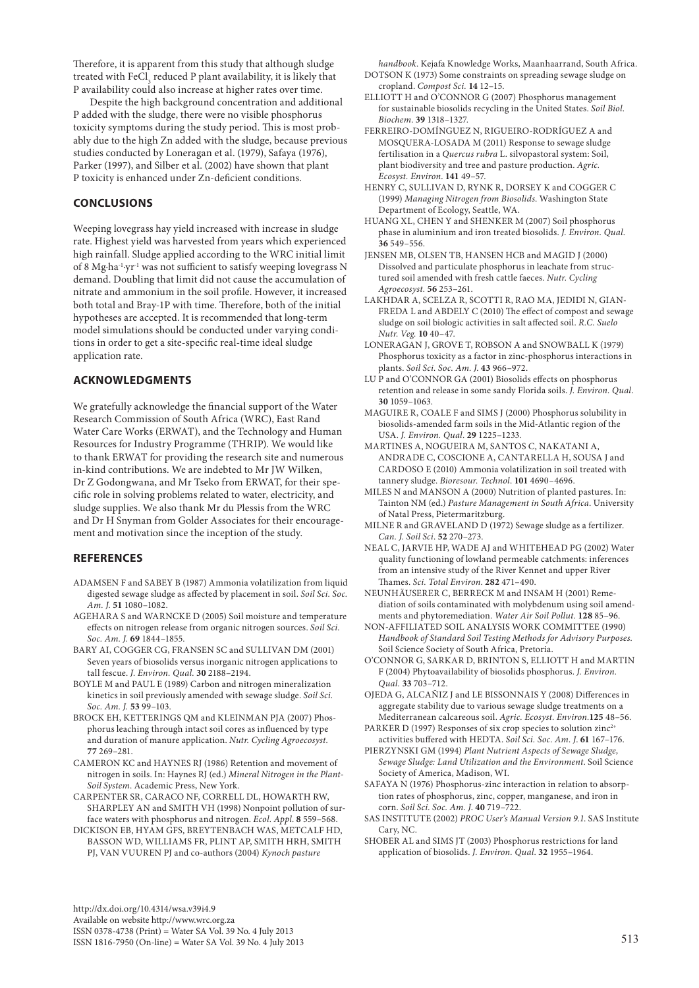Therefore, it is apparent from this study that although sludge treated with  ${\rm FeCl}_{_3}$  reduced P plant availability, it is likely that P availability could also increase at higher rates over time.

Despite the high background concentration and additional P added with the sludge, there were no visible phosphorus toxicity symptoms during the study period. This is most probably due to the high Zn added with the sludge, because previous studies conducted by Loneragan et al. (1979), Safaya (1976), Parker (1997), and Silber et al. (2002) have shown that plant P toxicity is enhanced under Zn-deficient conditions.

# **CONCLUSIONS**

Weeping lovegrass hay yield increased with increase in sludge rate. Highest yield was harvested from years which experienced high rainfall. Sludge applied according to the WRC initial limit of 8 Mg∙ha-1∙yr-1 was not sufficient to satisfy weeping lovegrass N demand. Doubling that limit did not cause the accumulation of nitrate and ammonium in the soil profile. However, it increased both total and Bray-1P with time. Therefore, both of the initial hypotheses are accepted. It is recommended that long-term model simulations should be conducted under varying conditions in order to get a site-specific real-time ideal sludge application rate.

# **ACKNOWLEDGMENTS**

We gratefully acknowledge the financial support of the Water Research Commission of South Africa (WRC), East Rand Water Care Works (ERWAT), and the Technology and Human Resources for Industry Programme (THRIP). We would like to thank ERWAT for providing the research site and numerous in-kind contributions. We are indebted to Mr JW Wilken, Dr Z Godongwana, and Mr Tseko from ERWAT, for their specific role in solving problems related to water, electricity, and sludge supplies. We also thank Mr du Plessis from the WRC and Dr H Snyman from Golder Associates for their encouragement and motivation since the inception of the study.

# **REFERENCES**

- ADAMSEN F and SABEY B (1987) Ammonia volatilization from liquid digested sewage sludge as affected by placement in soil. *Soil Sci. Soc. Am. J.* **51** 1080–1082.
- AGEHARA S and WARNCKE D (2005) Soil moisture and temperature effects on nitrogen release from organic nitrogen sources. *Soil Sci. Soc. Am. J.* **69** 1844–1855.
- BARY AI, COGGER CG, FRANSEN SC and SULLIVAN DM (2001) Seven years of biosolids versus inorganic nitrogen applications to tall fescue. *J. Environ. Qual.* **30** 2188–2194.
- BOYLE M and PAUL E (1989) Carbon and nitrogen mineralization kinetics in soil previously amended with sewage sludge. *Soil Sci. Soc. Am. J.* **53** 99–103.
- BROCK EH, KETTERINGS QM and KLEINMAN PJA (2007) Phosphorus leaching through intact soil cores as influenced by type and duration of manure application. *Nutr. Cycling Agroecosyst.* **77** 269–281.
- CAMERON KC and HAYNES RJ (1986) Retention and movement of nitrogen in soils. In: Haynes RJ (ed.) *Mineral Nitrogen in the Plant-Soil System*. Academic Press, New York.
- CARPENTER SR, CARACO NF, CORRELL DL, HOWARTH RW, SHARPLEY AN and SMITH VH (1998) Nonpoint pollution of surface waters with phosphorus and nitrogen. *Ecol. Appl*. **8** 559–568.
- DICKISON EB, HYAM GFS, BREYTENBACH WAS, METCALF HD, BASSON WD, WILLIAMS FR, PLINT AP, SMITH HRH, SMITH PJ, VAN VUUREN PJ and co-authors (2004) *Kynoch pasture*

http://dx.doi.org/10.4314/wsa.v39i4.9 Available on website http://www.wrc.org.za ISSN 0378-4738 (Print) = Water SA Vol. 39 No. 4 July 2013  $1$ SSN 1816-7950 (On-line) = Water SA Vol. 39 No. 4 July 2013 513

*handbook*. Kejafa Knowledge Works, Maanhaarrand, South Africa. DOTSON K (1973) Some constraints on spreading sewage sludge on cropland. *Compost Sci.* **14** 12–15.

- ELLIOTT H and O'CONNOR G (2007) Phosphorus management for sustainable biosolids recycling in the United States. *Soil Biol. Biochem*. **39** 1318–1327.
- FERREIRO-DOMÍNGUEZ N, RIGUEIRO-RODRÍGUEZ A and MOSQUERA-LOSADA M (2011) Response to sewage sludge fertilisation in a *Quercus rubra* L. silvopastoral system: Soil, plant biodiversity and tree and pasture production. *Agric. Ecosyst. Environ*. **141** 49–57.
- HENRY C, SULLIVAN D, RYNK R, DORSEY K and COGGER C (1999) *Managing Nitrogen from Biosolids*. Washington State Department of Ecology, Seattle, WA.
- HUANG XL, CHEN Y and SHENKER M (2007) Soil phosphorus phase in aluminium and iron treated biosolids. *J. Environ. Qual.* **36** 549–556.
- JENSEN MB, OLSEN TB, HANSEN HCB and MAGID J (2000) Dissolved and particulate phosphorus in leachate from structured soil amended with fresh cattle faeces. *Nutr. Cycling Agroecosyst.* **56** 253–261.
- LAKHDAR A, SCELZA R, SCOTTI R, RAO MA, JEDIDI N, GIAN-FREDA L and ABDELY C (2010) The effect of compost and sewage sludge on soil biologic activities in salt affected soil. *R.C. Suelo Nutr. Veg.* **10** 40–47.
- LONERAGAN J, GROVE T, ROBSON A and SNOWBALL K (1979) Phosphorus toxicity as a factor in zinc-phosphorus interactions in plants. *Soil Sci. Soc. Am. J*. **43** 966–972.
- LU P and O'CONNOR GA (2001) Biosolids effects on phosphorus retention and release in some sandy Florida soils. *J. Environ. Qual*. **30** 1059–1063.
- MAGUIRE R, COALE F and SIMS J (2000) Phosphorus solubility in biosolids-amended farm soils in the Mid-Atlantic region of the USA. *J. Environ. Qual*. **29** 1225–1233.
- MARTINES A, NOGUEIRA M, SANTOS C, NAKATANI A, ANDRADE C, COSCIONE A, CANTARELLA H, SOUSA J and CARDOSO E (2010) Ammonia volatilization in soil treated with tannery sludge. *Bioresour. Technol*. **101** 4690–4696.
- MILES N and MANSON A (2000) Nutrition of planted pastures. In: Tainton NM (ed.) *Pasture Management in South Africa*. University of Natal Press, Pietermaritzburg.
- MILNE R and GRAVELAND D (1972) Sewage sludge as a fertilizer. *Can. J. Soil Sci*. **52** 270–273.
- NEAL C, JARVIE HP, WADE AJ and WHITEHEAD PG (2002) Water quality functioning of lowland permeable catchments: inferences from an intensive study of the River Kennet and upper River Thames. *Sci. Total Environ*. **282** 471–490.
- NEUNHÄUSERER C, BERRECK M and INSAM H (2001) Remediation of soils contaminated with molybdenum using soil amendments and phytoremediation. *Water Air Soil Pollut.* **128** 85–96.
- NON-AFFILIATED SOIL ANALYSIS WORK COMMITTEE (1990) *Handbook of Standard Soil Testing Methods for Advisory Purposes.*  Soil Science Society of South Africa, Pretoria.
- O'CONNOR G, SARKAR D, BRINTON S, ELLIOTT H and MARTIN F (2004) Phytoavailability of biosolids phosphorus. *J. Environ. Qual.* **33** 703–712.
- OJEDA G, ALCAÑIZ J and LE BISSONNAIS Y (2008) Differences in aggregate stability due to various sewage sludge treatments on a Mediterranean calcareous soil. *Agric. Ecosyst. Environ.***125** 48–56.
- PARKER D (1997) Responses of six crop species to solution  $zinc^{2+}$ activities buffered with HEDTA. *Soil Sci. Soc. Am. J*. **61** 167–176.
- PIERZYNSKI GM (1994) *Plant Nutrient Aspects of Sewage Sludge, Sewage Sludge: Land Utilization and the Environment*. Soil Science Society of America, Madison, WI.
- SAFAYA N (1976) Phosphorus-zinc interaction in relation to absorption rates of phosphorus, zinc, copper, manganese, and iron in corn. *Soil Sci. Soc. Am. J*. **40** 719–722.
- SAS INSTITUTE (2002) *PROC User's Manual Version 9.1*. SAS Institute Cary, NC.
- SHOBER AL and SIMS JT (2003) Phosphorus restrictions for land application of biosolids. *J. Environ. Qual*. **32** 1955–1964.